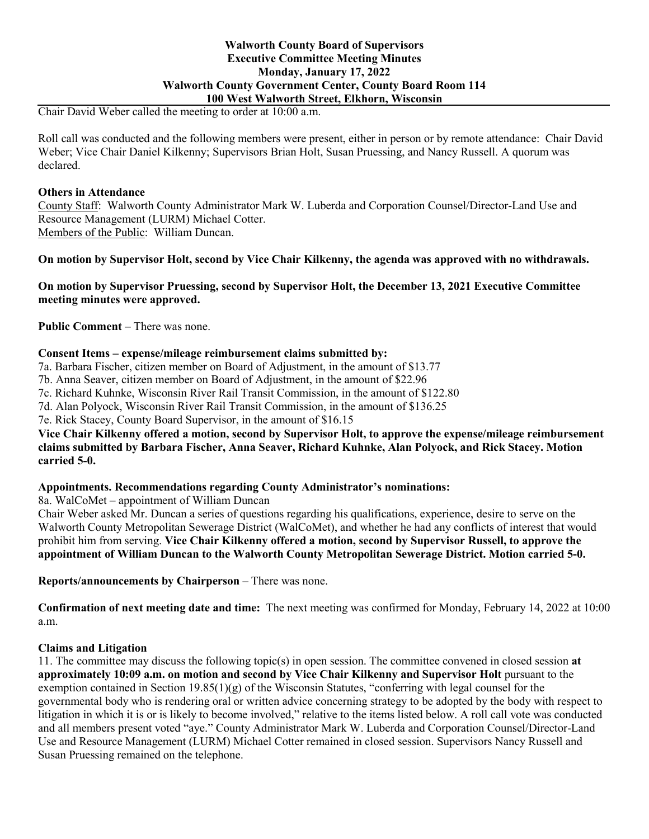## **Walworth County Board of Supervisors Executive Committee Meeting Minutes Monday, January 17, 2022 Walworth County Government Center, County Board Room 114 100 West Walworth Street, Elkhorn, Wisconsin**

Chair David Weber called the meeting to order at 10:00 a.m.

Roll call was conducted and the following members were present, either in person or by remote attendance: Chair David Weber; Vice Chair Daniel Kilkenny; Supervisors Brian Holt, Susan Pruessing, and Nancy Russell. A quorum was declared.

## **Others in Attendance**

County Staff: Walworth County Administrator Mark W. Luberda and Corporation Counsel/Director-Land Use and Resource Management (LURM) Michael Cotter. Members of the Public: William Duncan.

**On motion by Supervisor Holt, second by Vice Chair Kilkenny, the agenda was approved with no withdrawals.**

**On motion by Supervisor Pruessing, second by Supervisor Holt, the December 13, 2021 Executive Committee meeting minutes were approved.**

**Public Comment** – There was none.

# **Consent Items – expense/mileage reimbursement claims submitted by:**

7a. Barbara Fischer, citizen member on Board of Adjustment, in the amount of \$13.77

7b. Anna Seaver, citizen member on Board of Adjustment, in the amount of \$22.96

7c. Richard Kuhnke, Wisconsin River Rail Transit Commission, in the amount of \$122.80

7d. Alan Polyock, Wisconsin River Rail Transit Commission, in the amount of \$136.25

7e. Rick Stacey, County Board Supervisor, in the amount of \$16.15

**Vice Chair Kilkenny offered a motion, second by Supervisor Holt, to approve the expense/mileage reimbursement claims submitted by Barbara Fischer, Anna Seaver, Richard Kuhnke, Alan Polyock, and Rick Stacey. Motion carried 5-0.**

## **Appointments. Recommendations regarding County Administrator's nominations:**

8a. WalCoMet – appointment of William Duncan

Chair Weber asked Mr. Duncan a series of questions regarding his qualifications, experience, desire to serve on the Walworth County Metropolitan Sewerage District (WalCoMet), and whether he had any conflicts of interest that would prohibit him from serving. **Vice Chair Kilkenny offered a motion, second by Supervisor Russell, to approve the appointment of William Duncan to the Walworth County Metropolitan Sewerage District. Motion carried 5-0.**

**Reports/announcements by Chairperson** – There was none.

**Confirmation of next meeting date and time:** The next meeting was confirmed for Monday, February 14, 2022 at 10:00 a.m.

## **Claims and Litigation**

11. The committee may discuss the following topic(s) in open session. The committee convened in closed session **at approximately 10:09 a.m. on motion and second by Vice Chair Kilkenny and Supervisor Holt** pursuant to the exemption contained in Section  $19.85(1)(g)$  of the Wisconsin Statutes, "conferring with legal counsel for the governmental body who is rendering oral or written advice concerning strategy to be adopted by the body with respect to litigation in which it is or is likely to become involved," relative to the items listed below. A roll call vote was conducted and all members present voted "aye." County Administrator Mark W. Luberda and Corporation Counsel/Director-Land Use and Resource Management (LURM) Michael Cotter remained in closed session. Supervisors Nancy Russell and Susan Pruessing remained on the telephone.